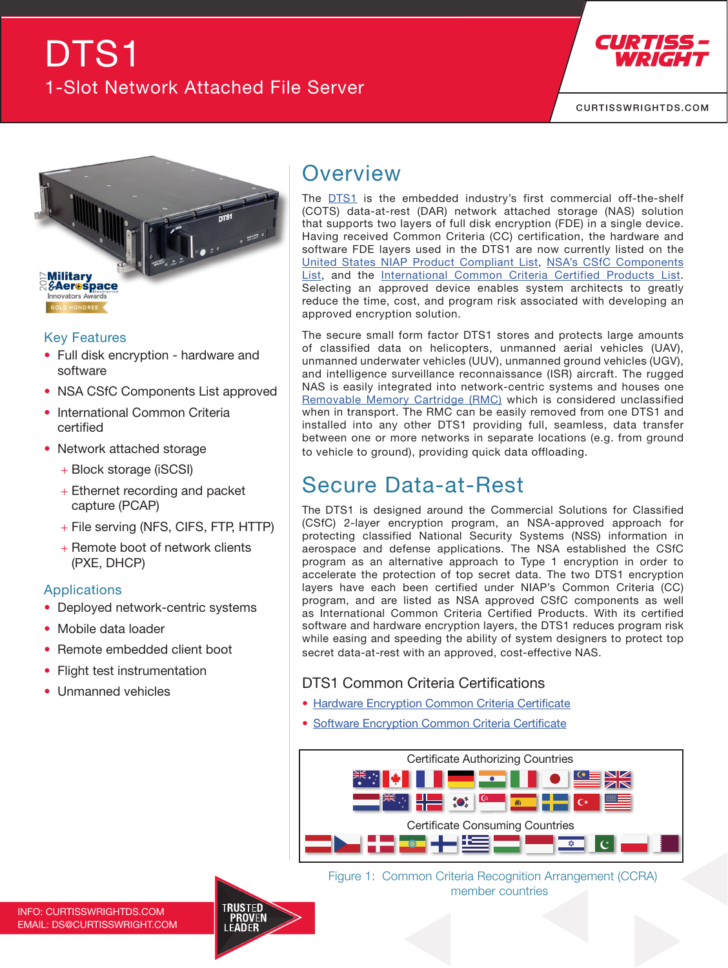# [DTS1](https://www.curtisswrightds.com/products/electronic-systems/data-recorders/data-storage/network-attached-storage/dts1.html) 1-Slot Network Attached File Server



[CURTISSWRIGHTDS.COM](https://www.curtisswrightds.com/)



#### Key Features

- Full disk encryption hardware and software
- NSA CSfC Components List approved
- International Common Criteria certified
- Network attached storage
	- + Block storage (iSCSI)
	- + Ethernet recording and packet capture (PCAP)
	- + File serving (NFS, CIFS, FTP, HTTP)
	- + Remote boot of network clients (PXE, DHCP)

#### Applications

- Deployed network-centric systems
- Mobile data loader
- Remote embedded client boot
- Flight test instrumentation
- Unmanned vehicles

### **Overview**

The [DTS1](https://www.curtisswrightds.com/products/electronic-systems/data-recorders/data-storage/network-attached-storage/dts1.html) is the embedded industry's first commercial off-the-shelf (COTS) [data-at-rest \(DAR\)](https://www.curtisswrightds.com/technologies/trusted-computing/data-at-rest-encryption.html) network attached storage (NAS) solution that supports two layers of full disk encryption (FDE) in a single device. Having received [Common Criteria \(CC\) certification](https://www.curtisswrightds.com/news/articles/introduction-to-certification-authorities-for-trusted-computing.html), the hardware and software FDE layers used in the DTS1 are now currently listed on the [United States NIAP Product Compliant List](https://www.niap-ccevs.org/Product/PCL.cfm?par303=Curtiss-Wright%20Defense%20Solutions), [NSA's CSfC Components](https://www.nsa.gov/resources/everyone/csfc/components-list/#list-index) [List,](https://www.nsa.gov/resources/everyone/csfc/components-list/#list-index) and the [International Common Criteria Certified Products List.](https://www.commoncriteriaportal.org/products/#DP) Selecting an approved device enables system architects to greatly reduce the time, cost, and program risk associated with developing an approved encryption solution.

The secure small form factor DTS1 stores and protects large amounts of classified data on helicopters, unmanned aerial vehicles (UAV), unmanned underwater vehicles (UUV), unmanned ground vehicles (UGV), and intelligence surveillance reconnaissance (ISR) aircraft. The rugged NAS is easily integrated into network-centric systems and houses one [Removable Memory Cartridge \(RMC\)](https://www.curtisswrightds.com/products/cots-boards/direct-attached-storage/removable-memory-cartridge.html) which is considered unclassified when in transport. The RMC can be easily removed from one DTS1 and installed into any other DTS1 providing full, seamless, data transfer between one or more networks in separate locations (e.g. from ground to vehicle to ground), providing quick data offloading.

# Secure [Data-at-Rest](https://www.curtisswrightds.com/technologies/trusted-computing/data-at-rest-encryption.html)

The DTS1 is designed around the Commercial Solutions for Classified (CSfC) 2-layer encryption program, an NSA-approved approach for protecting classified National Security Systems (NSS) information in aerospace and defense applications. The NSA established the CSfC program as an alternative approach to Type 1 encryption in order to accelerate the protection of top secret data. The two DTS1 encryption layers have each been certified under NIAP's Common Criteria (CC) program, and are listed as NSA approved CSfC components as well as International Common Criteria Certified Products. With its certified software and hardware encryption layers, the DTS1 reduces program risk while easing and speeding the ability of system designers to protect top secret data-at-rest with an approved, cost-effective NAS.

#### DTS1 Common Criteria Certifications

- [Hardware Encryption Common Criteria Certificate](https://www.curtisswrightds.com/content/documents/DTS1-Hardware-Encryption-Common-Criteria-Certificate.pdf)
- [Software Encryption Common Criteria Certificate](https://www.curtisswrightds.com/content/documents/DTS1-Software-Encryption-Common-Criteria-Certificate.pdf)



[F](https://www.curtisswrightds.com/company/)igure 1: Common Criteria Recognition Arrangement (CCRA) member countries

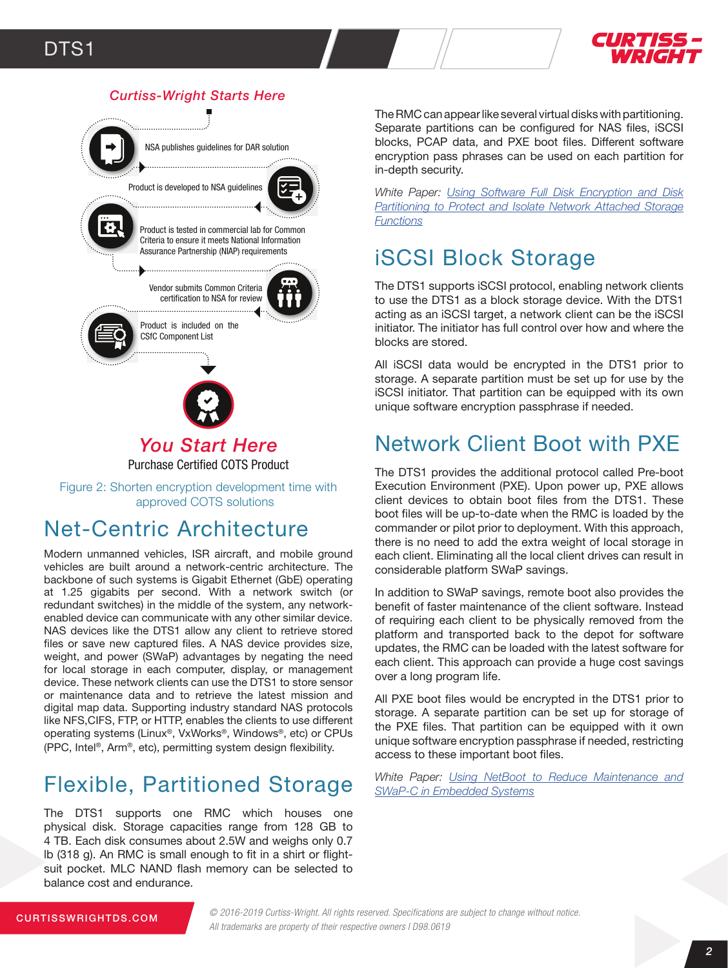



### Net-Centric Architecture

Modern unmanned vehicles, ISR aircraft, and mobile ground vehicles are built around a network-centric architecture. The backbone of such systems is Gigabit Ethernet (GbE) operating at 1.25 gigabits per second. With a network switch (or redundant switches) in the middle of the system, any networkenabled device can communicate with any other similar device. NAS devices like the DTS1 allow any client to retrieve stored files or save new captured files. A NAS device provides size, weight, and power (SWaP) advantages by negating the need for local storage in each computer, display, or management device. These network clients can use the DTS1 to store sensor or maintenance data and to retrieve the latest mission and digital map data. Supporting industry standard NAS protocols like NFS,CIFS, FTP, or HTTP, enables the clients to use different operating systems (Linux®, VxWorks®, Windows®, etc) or CPUs (PPC, Intel®, Arm®, etc), permitting system design flexibility.

# Flexible, Partitioned Storage

The DTS1 supports one RMC which houses one physical disk. Storage capacities range from 128 GB to 4 TB. Each disk consumes about 2.5W and weighs only 0.7 lb (318 g). An RMC is small enough to fit in a shirt or flightsuit pocket. MLC NAND flash memory can be selected to balance cost and endurance.

The RMC can appear like several virtual disks with partitioning. Separate partitions can be configured for NAS files, iSCSI blocks, PCAP data, and PXE boot files. Different software encryption pass phrases can be used on each partition for in-depth security.

*White Paper: [Using Software Full Disk Encryption and Disk](https://www.curtisswrightds.com/infocenter/white-papers/using-software-full-disk-encryption-and-disk-partitioning.html)*  **[Partitioning to Protect and Isolate Network Attached Storage](https://www.curtisswrightds.com/infocenter/white-papers/using-software-full-disk-encryption-and-disk-partitioning.html)** *[Functions](https://www.curtisswrightds.com/infocenter/white-papers/using-software-full-disk-encryption-and-disk-partitioning.html)*

# iSCSI Block Storage

The DTS1 supports iSCSI protocol, enabling network clients to use the DTS1 as a block storage device. With the DTS1 acting as an iSCSI target, a network client can be the iSCSI initiator. The initiator has full control over how and where the blocks are stored.

All iSCSI data would be encrypted in the DTS1 prior to storage. A separate partition must be set up for use by the iSCSI initiator. That partition can be equipped with its own unique software encryption passphrase if needed.

# Network Client Boot with PXE

The DTS1 provides the additional protocol called Pre-boot Execution Environment (PXE). Upon power up, PXE allows client devices to obtain boot files from the DTS1. These boot files will be up-to-date when the RMC is loaded by the commander or pilot prior to deployment. With this approach, there is no need to add the extra weight of local storage in each client. Eliminating all the local client drives can result in considerable platform SWaP savings.

In addition to SWaP savings, remote boot also provides the benefit of faster maintenance of the client software. Instead of requiring each client to be physically removed from the platform and transported back to the depot for software updates, the RMC can be loaded with the latest software for each client. This approach can provide a huge cost savings over a long program life.

All PXE boot files would be encrypted in the DTS1 prior to storage. A separate partition can be set up for storage of the PXE files. That partition can be equipped with it own unique software encryption passphrase if needed, restricting access to these important boot files.

*White Paper: [Using NetBoot to Reduce Maintenance and](https://www.curtisswrightds.com/infocenter/white-papers/netboot-to-reduce-maintenance-and-swap-in-embedded-systems.html) [SWaP-C in Embedded Systems](https://www.curtisswrightds.com/infocenter/white-papers/netboot-to-reduce-maintenance-and-swap-in-embedded-systems.html)*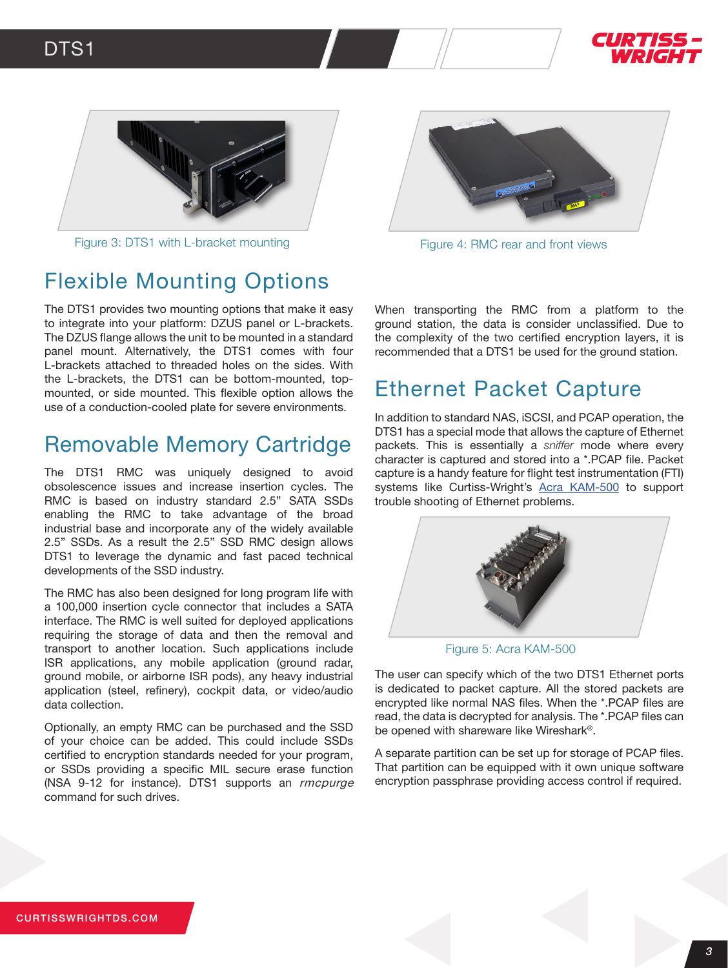



Figure 3: DTS1 with L-bracket mounting Figure 4: RMC rear and front views



### Flexible Mounting Options

The DTS1 provides two mounting options that make it easy to integrate into your platform: DZUS panel or L-brackets. The DZUS flange allows the unit to be mounted in a standard panel mount. Alternatively, the DTS1 comes with four L-brackets attached to threaded holes on the sides. With the L-brackets, the DTS1 can be bottom-mounted, topmounted, or side mounted. This flexible option allows the use of a conduction-cooled plate for severe environments.

### [Removable Memory Cartridge](https://www.curtisswrightds.com/products/cots-boards/direct-attached-storage/removable-memory-cartridge.html)

The DTS1 RMC was uniquely designed to avoid obsolescence issues and increase insertion cycles. The RMC is based on industry standard 2.5" SATA SSDs enabling the RMC to take advantage of the broad industrial base and incorporate any of the widely available 2.5" SSDs. As a result the 2.5" SSD RMC design allows DTS1 to leverage the dynamic and fast paced technical developments of the SSD industry.

The RMC has also been designed for long program life with a 100,000 insertion cycle connector that includes a SATA interface. The RMC is well suited for deployed applications requiring the storage of data and then the removal and transport to another location. Such applications include ISR applications, any mobile application (ground radar, ground mobile, or airborne ISR pods), any heavy industrial application (steel, refinery), cockpit data, or video/audio data collection.

Optionally, an empty RMC can be purchased and the SSD of your choice can be added. This could include SSDs certified to encryption standards needed for your program, or SSDs providing a specific MIL secure erase function (NSA 9-12 for instance). DTS1 supports an rmcpurge command for such drives.

When transporting the RMC from a platform to the ground station, the data is consider unclassified. Due to the complexity of the two certified encryption layers, it is recommended that a DTS1 be used for the ground station.

### Ethernet Packet Capture

In addition to standard NAS, iSCSI, and PCAP operation, the DTS1 has a special mode that allows the capture of Ethernet packets. This is essentially a *sniffer* mode where every character is captured and stored into a \*.PCAP file. Packet capture is a handy feature for flight test instrumentation (FTI) systems like Curtiss-Wright's [Acra KAM-500](https://www.curtisswrightds.com/products/flight-test/data-acquisition/modules/digital/) to support trouble shooting of Ethernet problems.



Figure 5: Acra KAM-500

The user can specify which of the two DTS1 Ethernet ports is dedicated to packet capture. All the stored packets are encrypted like normal NAS files. When the \*.PCAP files are read, the data is decrypted for analysis. The \*.PCAP files can be opened with shareware like Wireshark®.

A separate partition can be set up for storage of PCAP files. That partition can be equipped with it own unique software encryption passphrase providing access control if required.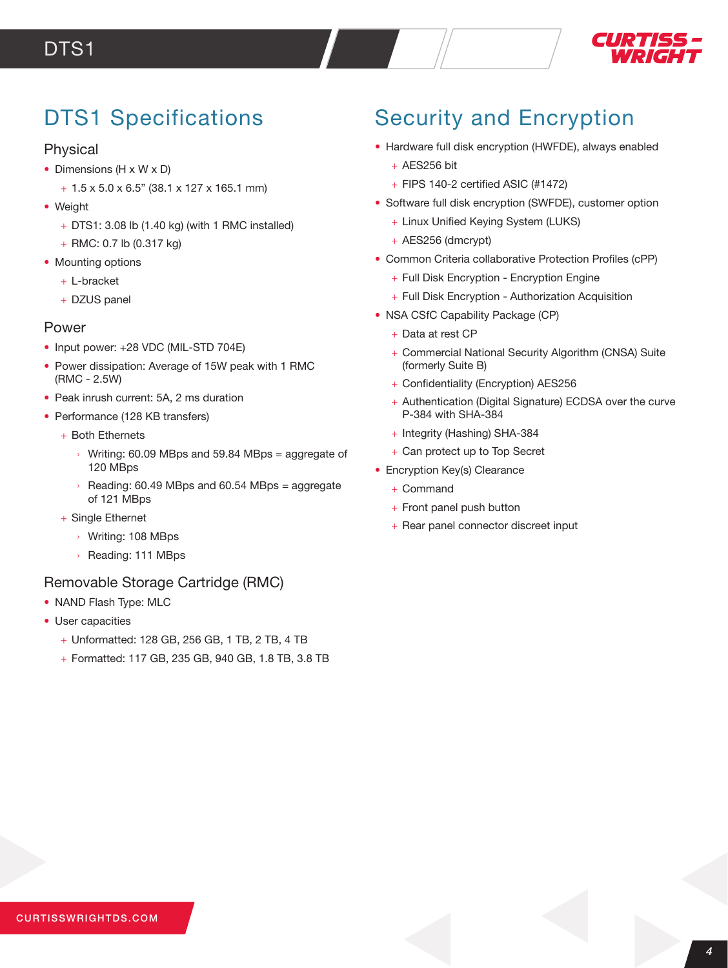

## DTS1 Specifications

#### Physical

- Dimensions (H x W x D)
	- + 1.5 x 5.0 x 6.5" (38.1 x 127 x 165.1 mm)
- Weight
	- + DTS1: 3.08 lb (1.40 kg) (with 1 RMC installed)
	- + RMC: 0.7 lb (0.317 kg)
- Mounting options
	- + L-bracket
	- + DZUS panel

#### Power

- Input power: +28 VDC (MIL-STD 704E)
- Power dissipation: Average of 15W peak with 1 RMC (RMC - 2.5W)
- Peak inrush current: 5A, 2 ms duration
- Performance (128 KB transfers)
	- + Both Ethernets
		- If Writing: 60.09 MBps and 59.84 MBps = aggregate of 120 MBps
		- $\rightarrow$  Reading: 60.49 MBps and 60.54 MBps = aggregate of 121 MBps
	- + Single Ethernet
		- › Writing: 108 MBps
		- › Reading: 111 MBps

#### [Removable Storage Cartridge \(RMC\)](https://www.curtisswrightds.com/products/cots-boards/direct-attached-storage/removable-memory-cartridge.html)

- NAND Flash Type: MLC
- User capacities
	- + Unformatted: 128 GB, 256 GB, 1 TB, 2 TB, 4 TB
	- + Formatted: 117 GB, 235 GB, 940 GB, 1.8 TB, 3.8 TB

# Security and Encryption

- Hardware full disk encryption (HWFDE), always enabled
	- $+$  AES256 bit
	- $+$  FIPS 140-2 certified ASIC (#1472)
- Software full disk encryption (SWFDE), customer option
	- + Linux Unified Keying System (LUKS)
	- + AES256 (dmcrypt)
- Common Criteria collaborative Protection Profiles (cPP)
	- + Full Disk Encryption Encryption Engine
	- + Full Disk Encryption Authorization Acquisition
- NSA CSfC Capability Package (CP)
	- + Data at rest CP
	- + Commercial National Security Algorithm (CNSA) Suite (formerly Suite B)
	- + Confidentiality (Encryption) AES256
	- + Authentication (Digital Signature) ECDSA over the curve P-384 with SHA-384
	- + Integrity (Hashing) SHA-384
	- + Can protect up to Top Secret
- Encryption Key(s) Clearance
	- + Command
	- + Front panel push button
	- + Rear panel connector discreet input